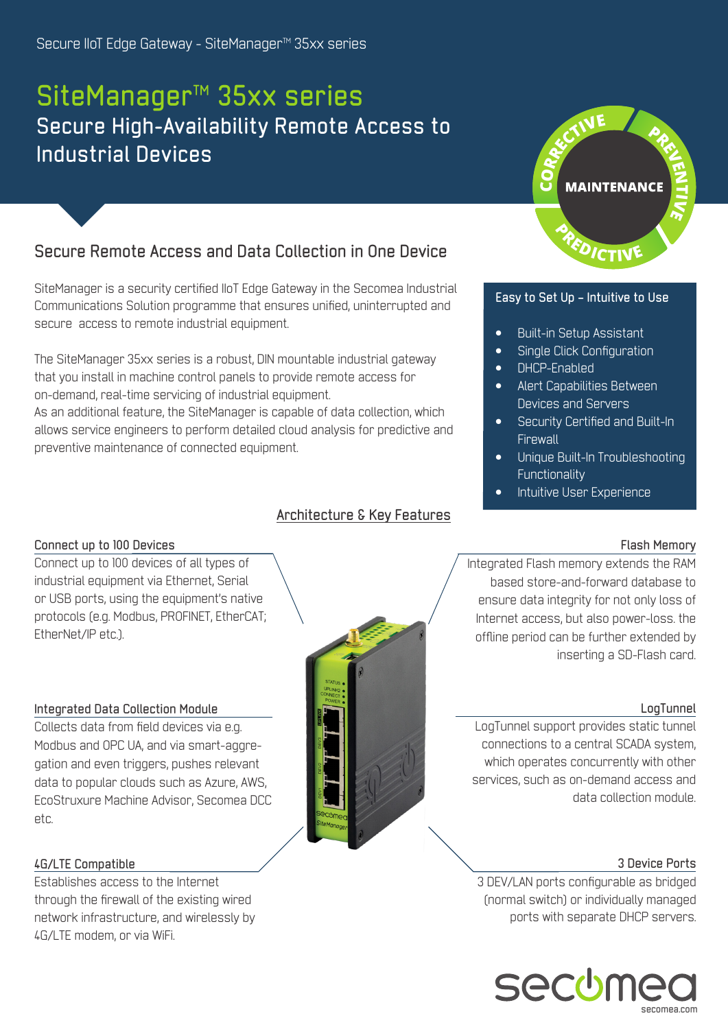## **SiteManager™ 35xx series Secure High-Availability Remote Access to Industrial Devices**

## **Secure Remote Access and Data Collection in One Device**

SiteManager is a security certified IIoT Edge Gateway in the Secomea Industrial Communications Solution programme that ensures unified, uninterrupted and secure access to remote industrial equipment.

The SiteManager 35xx series is a robust, DIN mountable industrial gateway that you install in machine control panels to provide remote access for on-demand, real-time servicing of industrial equipment. As an additional feature, the SiteManager is capable of data collection, which allows service engineers to perform detailed cloud analysis for predictive and preventive maintenance of connected equipment.

## **Architecture & Key Features**



## **Easy to Set Up – Intuitive to Use**

- Built-in Setup Assistant
- Single Click Configuration
- DHCP-Enabled
- Alert Capabilities Between Devices and Servers
- Security Certified and Built-In **Firewall**
- Unique Built-In Troubleshooting **Functionality**
- Intuitive User Experience

## **Flash Memory**

## **Connect up to 100 Devices**

Connect up to 100 devices of all types of industrial equipment via Ethernet, Serial or USB ports, using the equipment's native protocols (e.g. Modbus, PROFINET, EtherCAT; EtherNet/IP etc.).

## **Integrated Data Collection Module**

Collects data from field devices via e.g. Modbus and OPC UA, and via smart-aggregation and even triggers, pushes relevant data to popular clouds such as Azure, AWS, EcoStruxure Machine Advisor, Secomea DCC etc.



## **4G/LTE Compatible**

Establishes access to the Internet through the firewall of the existing wired network infrastructure, and wirelessly by 4G/LTE modem, or via WiFi.

Integrated Flash memory extends the RAM based store-and-forward database to ensure data integrity for not only loss of Internet access, but also power-loss. the offline period can be further extended by inserting a SD-Flash card.

## **LogTunnel**

LogTunnel support provides static tunnel connections to a central SCADA system, which operates concurrently with other services, such as on-demand access and data collection module.

## **3 Device Ports**

3 DEV/LAN ports configurable as bridged (normal switch) or individually managed ports with separate DHCP servers.